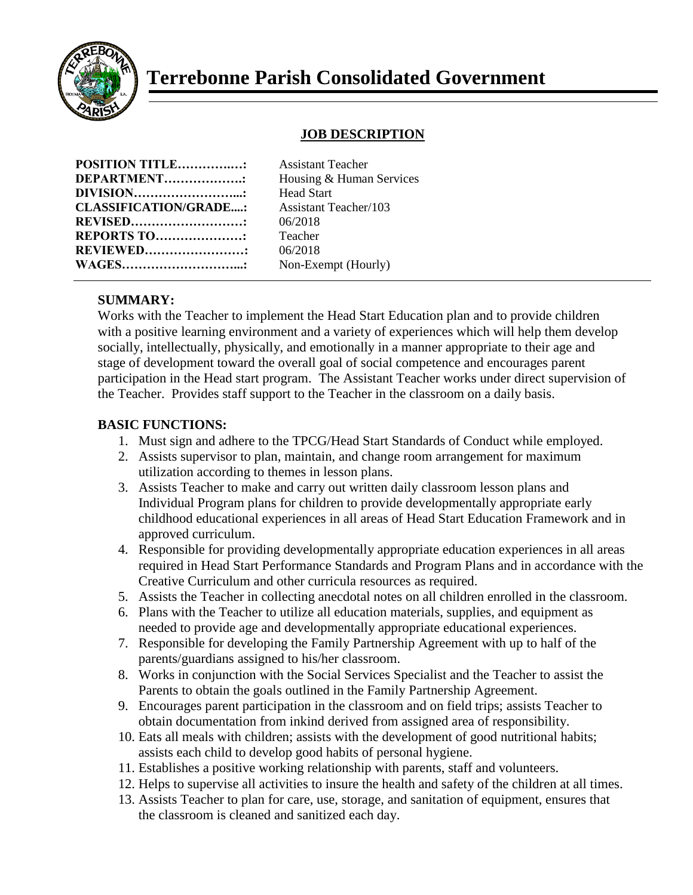

# **Terrebonne Parish Consolidated Government**

# **JOB DESCRIPTION**

| <b>POSITION TITLE:</b>                                     |                |
|------------------------------------------------------------|----------------|
| DEPARTMENT                                                 | I              |
| DIVISION<br><b>CLASSIFICATION/GRADE:</b><br><b>REVISED</b> | Ŧ              |
|                                                            | $\overline{1}$ |
|                                                            | ſ              |
| <b>REPORTS TO:</b>                                         |                |
| <b>REVIEWED</b>                                            | ſ              |
| <b>WAGES</b>                                               | $\mathbf{r}$   |

**Assistant Teacher Housing & Human Services Head Start CLASSIFICATION/GRADE....:** Assistant Teacher/103 **REVISED………………………:** 06/2018 **Teacher REVIEWED……………………:** 06/2018 **Von-Exempt (Hourly)** 

### **SUMMARY:**

Works with the Teacher to implement the Head Start Education plan and to provide children with a positive learning environment and a variety of experiences which will help them develop socially, intellectually, physically, and emotionally in a manner appropriate to their age and stage of development toward the overall goal of social competence and encourages parent participation in the Head start program. The Assistant Teacher works under direct supervision of the Teacher. Provides staff support to the Teacher in the classroom on a daily basis.

#### **BASIC FUNCTIONS:**

- 1. Must sign and adhere to the TPCG/Head Start Standards of Conduct while employed.
- 2. Assists supervisor to plan, maintain, and change room arrangement for maximum utilization according to themes in lesson plans.
- 3. Assists Teacher to make and carry out written daily classroom lesson plans and Individual Program plans for children to provide developmentally appropriate early childhood educational experiences in all areas of Head Start Education Framework and in approved curriculum.
- 4. Responsible for providing developmentally appropriate education experiences in all areas required in Head Start Performance Standards and Program Plans and in accordance with the Creative Curriculum and other curricula resources as required.
- 5. Assists the Teacher in collecting anecdotal notes on all children enrolled in the classroom.
- 6. Plans with the Teacher to utilize all education materials, supplies, and equipment as needed to provide age and developmentally appropriate educational experiences.
- 7. Responsible for developing the Family Partnership Agreement with up to half of the parents/guardians assigned to his/her classroom.
- 8. Works in conjunction with the Social Services Specialist and the Teacher to assist the Parents to obtain the goals outlined in the Family Partnership Agreement.
- 9. Encourages parent participation in the classroom and on field trips; assists Teacher to obtain documentation from inkind derived from assigned area of responsibility.
- 10. Eats all meals with children; assists with the development of good nutritional habits; assists each child to develop good habits of personal hygiene.
- 11. Establishes a positive working relationship with parents, staff and volunteers.
- 12. Helps to supervise all activities to insure the health and safety of the children at all times.
- 13. Assists Teacher to plan for care, use, storage, and sanitation of equipment, ensures that the classroom is cleaned and sanitized each day.